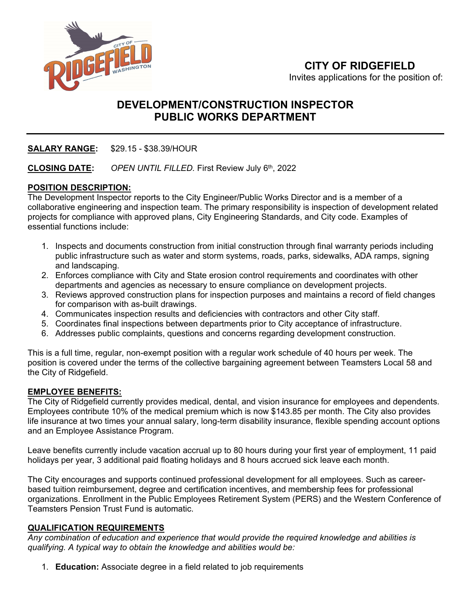

# **DEVELOPMENT/CONSTRUCTION INSPECTOR PUBLIC WORKS DEPARTMENT**

# **SALARY RANGE:** \$29.15 - \$38.39/HOUR

## **CLOSING DATE:** *OPEN UNTIL FILLED.* First Review July 6th, 2022

## **POSITION DESCRIPTION:**

The Development Inspector reports to the City Engineer/Public Works Director and is a member of a collaborative engineering and inspection team. The primary responsibility is inspection of development related projects for compliance with approved plans, City Engineering Standards, and City code. Examples of essential functions include:

- 1. Inspects and documents construction from initial construction through final warranty periods including public infrastructure such as water and storm systems, roads, parks, sidewalks, ADA ramps, signing and landscaping.
- 2. Enforces compliance with City and State erosion control requirements and coordinates with other departments and agencies as necessary to ensure compliance on development projects.
- 3. Reviews approved construction plans for inspection purposes and maintains a record of field changes for comparison with as-built drawings.
- 4. Communicates inspection results and deficiencies with contractors and other City staff.
- 5. Coordinates final inspections between departments prior to City acceptance of infrastructure.
- 6. Addresses public complaints, questions and concerns regarding development construction.

This is a full time, regular, non-exempt position with a regular work schedule of 40 hours per week. The position is covered under the terms of the collective bargaining agreement between Teamsters Local 58 and the City of Ridgefield.

#### **EMPLOYEE BENEFITS:**

The City of Ridgefield currently provides medical, dental, and vision insurance for employees and dependents. Employees contribute 10% of the medical premium which is now \$143.85 per month. The City also provides life insurance at two times your annual salary, long-term disability insurance, flexible spending account options and an Employee Assistance Program.

Leave benefits currently include vacation accrual up to 80 hours during your first year of employment, 11 paid holidays per year, 3 additional paid floating holidays and 8 hours accrued sick leave each month.

The City encourages and supports continued professional development for all employees. Such as careerbased tuition reimbursement, degree and certification incentives, and membership fees for professional organizations. Enrollment in the Public Employees Retirement System (PERS) and the Western Conference of Teamsters Pension Trust Fund is automatic.

#### **QUALIFICATION REQUIREMENTS**

*Any combination of education and experience that would provide the required knowledge and abilities is qualifying. A typical way to obtain the knowledge and abilities would be:*

1. **Education:** Associate degree in a field related to job requirements